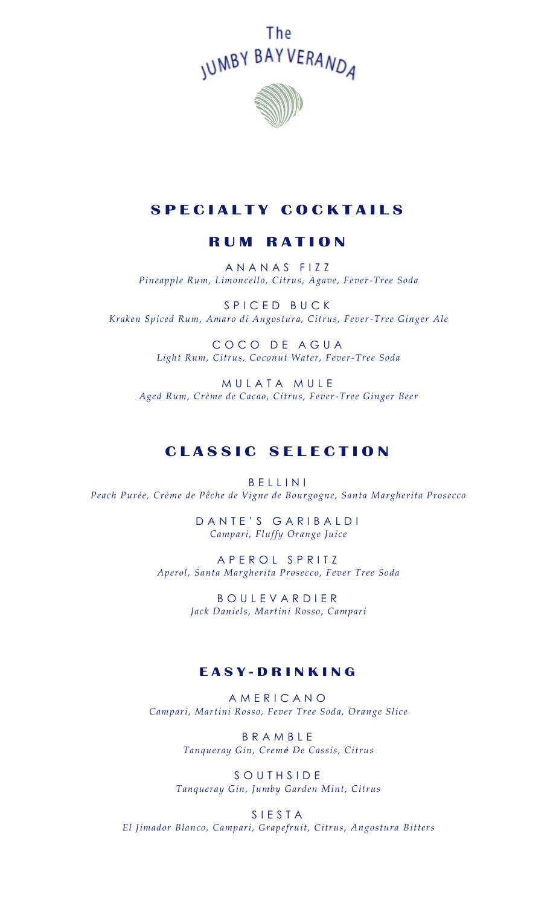



# **S P E C I A L T Y C O C K T A I L S**

## **R U M R A T I O N**

A N A N A S F I Z Z *Pineapple Rum, Limoncello, Citrus, Agave, Fever-Tree Soda*

S P I C E D B U C K *Kraken Spiced Rum, Amaro di Angostura, Citrus, Fever-Tree Ginger Ale*

> COCO DE AGUA *Light Rum, Citrus, Coconut Water, Fever-Tree Soda*

MULATA MULE *Aged Rum, Crème de Cacao, Citrus, Fever-Tree Ginger Beer* 

# **C L A S S I C S E L E C T I O N**

B E L L I N I *Peach Purée, Crème de Pêche de Vigne de Bourgogne, Santa Margherita Prosecco*

> DANTE'S GARIBALDI *Campari, Fluffy Orange Juice*

A P E R O L S P R I T Z *Aperol, Santa Margherita Prosecco, Fever Tree Soda*

> B O U L E V A R D I E R *Jack Daniels, Martini Rosso, Campari*

#### **E A S Y - D R I N K I N G**

A M E R I C A N O *Campari, Martini Rosso, Fever Tree Soda, Orange Slice*

> B R A M B L E *Tanqueray Gin, Cremé De Cassis, Citrus*

S O U T H S I D E *Tanqueray Gin, Jumby Garden Mint, Citrus*

S I E S T A *El Jimador Blanco, Campari, Grapefruit, Citrus, Angostura Bitters*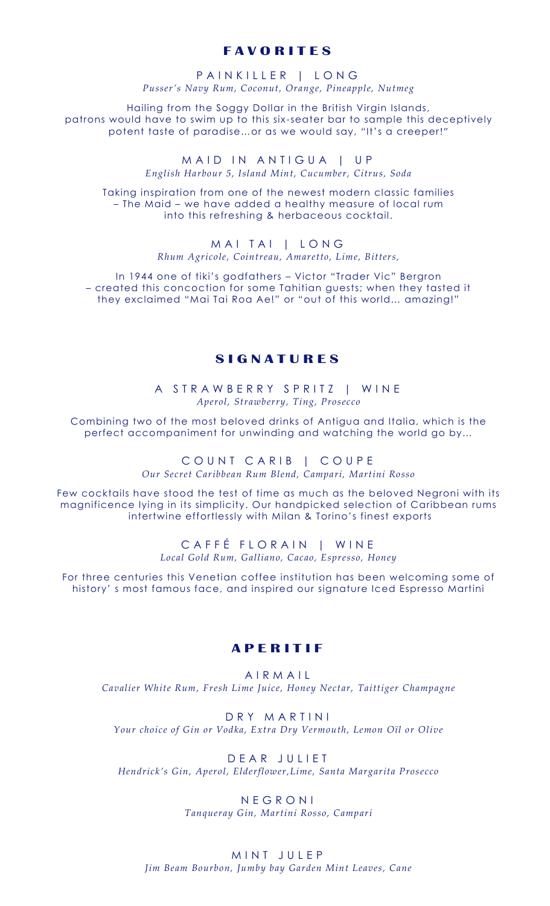### **F A V O R I T E S**

#### PAINKILLER | LONG *Pusser's Navy Rum, Coconut, Orange, Pineapple, Nutmeg*

Hailing from the Soggy Dollar in the British Virgin Islands, patrons would have to swim up to this six -seater bar to sample this deceptively potent taste of paradise…or as we would say, "It's a creeper!"

> M A I D IN ANTIGUA | UP *English Harbour 5, Island Mint, Cucumber, Citrus, Soda*

Taking inspiration from one of the newest modern classic families – The Maid – we have added a healthy measure of local rum into this refreshing & herbaceous cocktail.

> MAI TAI | LONG *Rhum Agricole, Cointreau, Amaretto, Lime, Bitters,*

In 1944 one of tiki's godfathers – Victor "Trader Vic" Bergron – created this concoction for some Tahitian guests; when they tasted it they exclaimed "Mai Tai Roa Ae!" or "out of this world… amazing!"

#### **S I G N A T U R E S**

A STRAWBERRY SPRITZ | WINE *Aperol, Strawberry, Ting, Prosecco*

Combining two of the most beloved drinks of Antigua and Italia, which is the perfect accompaniment for unwinding and watching the world go by…

> COUNT CARIB | COUPE *Our Secret Caribbean Rum Blend, Campari, Martini Rosso*

Few cocktails have stood the test of time as much as the beloved Negroni with its magnificence lying in its simplicity. Our handpicked selection of Caribbean rums intertwine effortlessly with Milan & Torino's finest exports

> CAFFÉ FLORAIN | WINE *Local Gold Rum, Galliano, Cacao, Espresso, Honey*

For three centuries this Venetian coffee institution has been welcoming some of history' s most famous face, and inspired our signature Iced Espresso Martini

#### **A P E R I T I F**

A I R M A I L *Cavalier White Rum, Fresh Lime Juice, Honey Nectar, Taittiger Champagne*

D R Y M A R T I N I *Your choice of Gin or Vodka, Extra Dry Vermouth, Lemon Oïl or Olive* 

D E A R J U L I E T *Hendrick's Gin, Aperol, Elderflower,Lime, Santa Margarita Prosecco* 

> N E G R O N I *Tanqueray Gin, Martini Rosso, Campari*

MINT JULEP *Jim Beam Bourbon, Jumby bay Garden Mint Leaves, Cane*